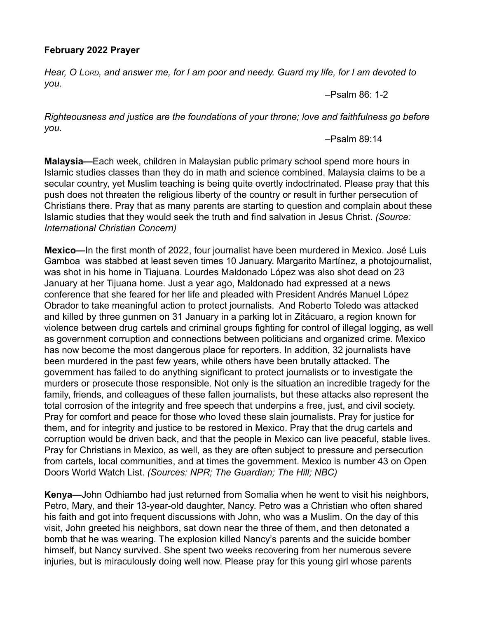## **February 2022 Prayer**

*Hear, O LORD, and answer me, for I am poor and needy. Guard my life, for I am devoted to you.*

–Psalm 86: 1-2

*Righteousness and justice are the foundations of your throne; love and faithfulness go before you.*

–Psalm 89:14

**Malaysia—**Each week, children in Malaysian public primary school spend more hours in Islamic studies classes than they do in math and science combined. Malaysia claims to be a secular country, yet Muslim teaching is being quite overtly indoctrinated. Please pray that this push does not threaten the religious liberty of the country or result in further persecution of Christians there. Pray that as many parents are starting to question and complain about these Islamic studies that they would seek the truth and find salvation in Jesus Christ. *(Source: International Christian Concern)*

**Mexico—**In the first month of 2022, four journalist have been murdered in Mexico. José Luis Gamboa was stabbed at least seven times 10 January. Margarito Martínez, a photojournalist, was shot in his home in Tiajuana. Lourdes Maldonado López was also shot dead on 23 January at her Tijuana home. Just a year ago, Maldonado had expressed at a news conference that she feared for her life and pleaded with President Andrés Manuel López Obrador to take meaningful action to protect journalists. And Roberto Toledo was attacked and killed by three gunmen on 31 January in a parking lot in Zitácuaro, a region known for violence between drug cartels and criminal groups fighting for control of illegal logging, as well as government corruption and connections between politicians and organized crime. Mexico has now become the most dangerous place for reporters. In addition, 32 journalists have been murdered in the past few years, while others have been brutally attacked. The government has failed to do anything significant to protect journalists or to investigate the murders or prosecute those responsible. Not only is the situation an incredible tragedy for the family, friends, and colleagues of these fallen journalists, but these attacks also represent the total corrosion of the integrity and free speech that underpins a free, just, and civil society. Pray for comfort and peace for those who loved these slain journalists. Pray for justice for them, and for integrity and justice to be restored in Mexico. Pray that the drug cartels and corruption would be driven back, and that the people in Mexico can live peaceful, stable lives. Pray for Christians in Mexico, as well, as they are often subject to pressure and persecution from cartels, local communities, and at times the government. Mexico is number 43 on Open Doors World Watch List. *(Sources: NPR; The Guardian; The Hill; NBC)*

**Kenya—**John Odhiambo had just returned from Somalia when he went to visit his neighbors, Petro, Mary, and their 13-year-old daughter, Nancy. Petro was a Christian who often shared his faith and got into frequent discussions with John, who was a Muslim. On the day of this visit, John greeted his neighbors, sat down near the three of them, and then detonated a bomb that he was wearing. The explosion killed Nancy's parents and the suicide bomber himself, but Nancy survived. She spent two weeks recovering from her numerous severe injuries, but is miraculously doing well now. Please pray for this young girl whose parents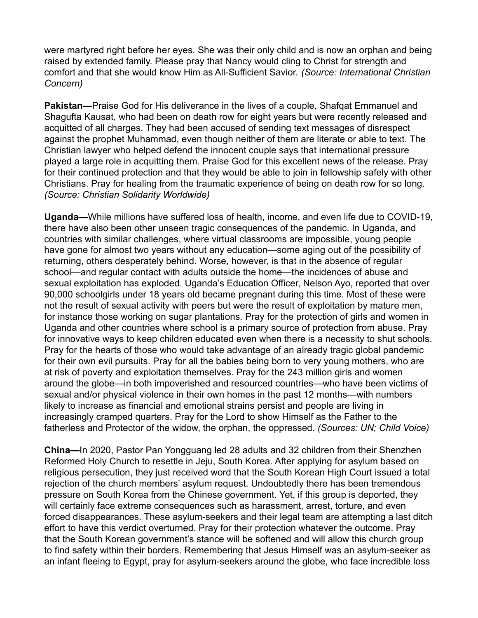were martyred right before her eyes. She was their only child and is now an orphan and being raised by extended family. Please pray that Nancy would cling to Christ for strength and comfort and that she would know Him as All-Sufficient Savior. *(Source: International Christian Concern)*

**Pakistan—**Praise God for His deliverance in the lives of a couple, Shafqat Emmanuel and Shagufta Kausat, who had been on death row for eight years but were recently released and acquitted of all charges. They had been accused of sending text messages of disrespect against the prophet Muhammad, even though neither of them are literate or able to text. The Christian lawyer who helped defend the innocent couple says that international pressure played a large role in acquitting them. Praise God for this excellent news of the release. Pray for their continued protection and that they would be able to join in fellowship safely with other Christians. Pray for healing from the traumatic experience of being on death row for so long. *(Source: Christian Solidarity Worldwide)*

**Uganda—**While millions have suffered loss of health, income, and even life due to COVID-19, there have also been other unseen tragic consequences of the pandemic. In Uganda, and countries with similar challenges, where virtual classrooms are impossible, young people have gone for almost two years without any education—some aging out of the possibility of returning, others desperately behind. Worse, however, is that in the absence of regular school—and regular contact with adults outside the home—the incidences of abuse and sexual exploitation has exploded. Uganda's Education Officer, Nelson Ayo, reported that over 90,000 schoolgirls under 18 years old became pregnant during this time. Most of these were not the result of sexual activity with peers but were the result of exploitation by mature men, for instance those working on sugar plantations. Pray for the protection of girls and women in Uganda and other countries where school is a primary source of protection from abuse. Pray for innovative ways to keep children educated even when there is a necessity to shut schools. Pray for the hearts of those who would take advantage of an already tragic global pandemic for their own evil pursuits. Pray for all the babies being born to very young mothers, who are at risk of poverty and exploitation themselves. Pray for the 243 million girls and women around the globe—in both impoverished and resourced countries—who have been victims of sexual and/or physical violence in their own homes in the past 12 months—with numbers likely to increase as financial and emotional strains persist and people are living in increasingly cramped quarters. Pray for the Lord to show Himself as the Father to the fatherless and Protector of the widow, the orphan, the oppressed. *(Sources: UN; Child Voice)*

**China—**In 2020, Pastor Pan Yongguang led 28 adults and 32 children from their Shenzhen Reformed Holy Church to resettle in Jeju, South Korea. After applying for asylum based on religious persecution, they just received word that the South Korean High Court issued a total rejection of the church members' asylum request. Undoubtedly there has been tremendous pressure on South Korea from the Chinese government. Yet, if this group is deported, they will certainly face extreme consequences such as harassment, arrest, torture, and even forced disappearances. These asylum-seekers and their legal team are attempting a last ditch effort to have this verdict overturned. Pray for their protection whatever the outcome. Pray that the South Korean government's stance will be softened and will allow this church group to find safety within their borders. Remembering that Jesus Himself was an asylum-seeker as an infant fleeing to Egypt, pray for asylum-seekers around the globe, who face incredible loss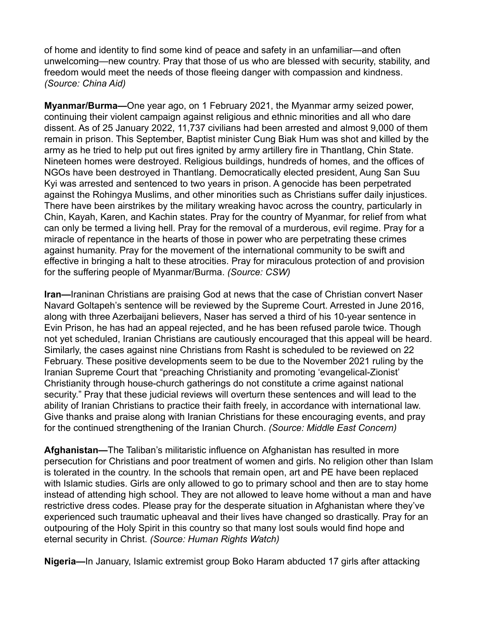of home and identity to find some kind of peace and safety in an unfamiliar—and often unwelcoming—new country. Pray that those of us who are blessed with security, stability, and freedom would meet the needs of those fleeing danger with compassion and kindness. *(Source: China Aid)*

**Myanmar/Burma—**One year ago, on 1 February 2021, the Myanmar army seized power, continuing their violent campaign against religious and ethnic minorities and all who dare dissent. As of 25 January 2022, 11,737 civilians had been arrested and almost 9,000 of them remain in prison. This September, Baptist minister Cung Biak Hum was shot and killed by the army as he tried to help put out fires ignited by army artillery fire in Thantlang, Chin State. Nineteen homes were destroyed. Religious buildings, hundreds of homes, and the offices of NGOs have been destroyed in Thantlang. Democratically elected president, Aung San Suu Kyi was arrested and sentenced to two years in prison. A genocide has been perpetrated against the Rohingya Muslims, and other minorities such as Christians suffer daily injustices. There have been airstrikes by the military wreaking havoc across the country, particularly in Chin, Kayah, Karen, and Kachin states. Pray for the country of Myanmar, for relief from what can only be termed a living hell. Pray for the removal of a murderous, evil regime. Pray for a miracle of repentance in the hearts of those in power who are perpetrating these crimes against humanity. Pray for the movement of the international community to be swift and effective in bringing a halt to these atrocities. Pray for miraculous protection of and provision for the suffering people of Myanmar/Burma. *(Source: CSW)*

**Iran—**Iraninan Christians are praising God at news that the case of Christian convert Naser Navard Goltapeh's sentence will be reviewed by the Supreme Court. Arrested in June 2016, along with three Azerbaijani believers, Naser has served a third of his 10-year sentence in Evin Prison, he has had an appeal rejected, and he has been refused parole twice. Though not yet scheduled, Iranian Christians are cautiously encouraged that this appeal will be heard. Similarly, the cases against nine Christians from Rasht is scheduled to be reviewed on 22 February. These positive developments seem to be due to the November 2021 ruling by the Iranian Supreme Court that "preaching Christianity and promoting 'evangelical-Zionist' Christianity through house-church gatherings do not constitute a crime against national security." Pray that these judicial reviews will overturn these sentences and will lead to the ability of Iranian Christians to practice their faith freely, in accordance with international law. Give thanks and praise along with Iranian Christians for these encouraging events, and pray for the continued strengthening of the Iranian Church. *(Source: Middle East Concern)*

**Afghanistan—**The Taliban's militaristic influence on Afghanistan has resulted in more persecution for Christians and poor treatment of women and girls. No religion other than Islam is tolerated in the country. In the schools that remain open, art and PE have been replaced with Islamic studies. Girls are only allowed to go to primary school and then are to stay home instead of attending high school. They are not allowed to leave home without a man and have restrictive dress codes. Please pray for the desperate situation in Afghanistan where they've experienced such traumatic upheaval and their lives have changed so drastically. Pray for an outpouring of the Holy Spirit in this country so that many lost souls would find hope and eternal security in Christ. *(Source: Human Rights Watch)*

**Nigeria—**In January, Islamic extremist group Boko Haram abducted 17 girls after attacking